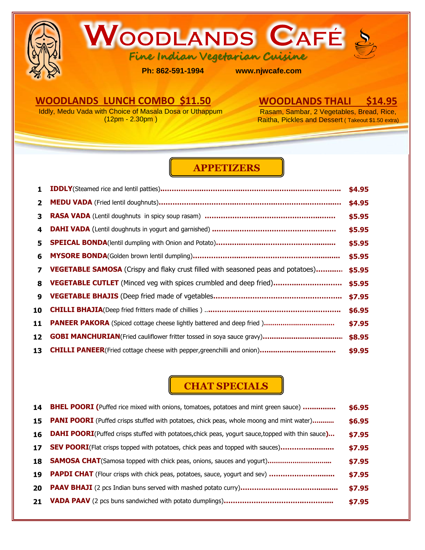



**Ph: 862-591-1994 www.njwcafe.com** 

## **WOODLANDS LUNCH COMBO \$11.50**

Iddly, Medu Vada with Choice of Masala Dosa or Uthappum (12pm - 2.30pm )

## **WOODLANDS THALI \$14.95**

Rasam, Sambar, 2 Vegetables, Bread, Rice, Raitha, Pickles and Dessert ( Takeout \$1.50 extra)

## **APPETIZERS**

| 1.                      |                                                                                         | \$4.95 |
|-------------------------|-----------------------------------------------------------------------------------------|--------|
| $\overline{\mathbf{z}}$ |                                                                                         | \$4.95 |
| 3                       |                                                                                         | \$5.95 |
| 4                       |                                                                                         | \$5.95 |
| 5.                      |                                                                                         | \$5.95 |
| 6                       |                                                                                         | \$5.95 |
| $\overline{\mathbf{z}}$ | <b>VEGETABLE SAMOSA</b> (Crispy and flaky crust filled with seasoned peas and potatoes) | \$5.95 |
| 8                       | <b>VEGETABLE CUTLET</b> (Minced veg with spices crumbled and deep fried)                | \$5.95 |
| $\mathbf{Q}$            |                                                                                         | \$7.95 |
| 10                      |                                                                                         | \$6.95 |
| 11                      |                                                                                         | \$7.95 |
| 12                      |                                                                                         | \$8.95 |
| 13                      |                                                                                         | \$9.95 |

## **CHAT SPECIALS**

| 14 | <b>BHEL POORI</b> (Puffed rice mixed with onions, tomatoes, potatoes and mint green sauce)                | \$6.95 |
|----|-----------------------------------------------------------------------------------------------------------|--------|
| 15 | <b>PANI POORI</b> (Puffed crisps stuffed with potatoes, chick peas, whole moong and mint water)           | \$6.95 |
| 16 | <b>DAHI POORI</b> (Puffed crisps stuffed with potatoes, chick peas, yogurt sauce, topped with thin sauce) | \$7.95 |
| 17 | <b>SEV POORI</b> (Flat crisps topped with potatoes, chick peas and topped with sauces)                    | \$7.95 |
| 18 |                                                                                                           | \$7.95 |
| 19 | <b>PAPDI CHAT</b> (Flour crisps with chick peas, potatoes, sauce, yogurt and sev)                         | \$7.95 |
| 20 |                                                                                                           | \$7.95 |
| 21 |                                                                                                           | \$7.95 |
|    |                                                                                                           |        |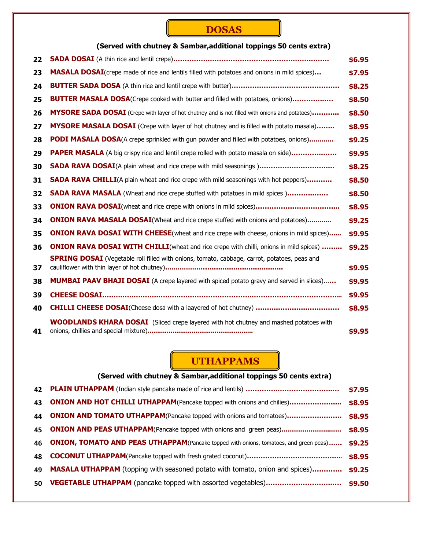# **DOSAS**

### **(Served with chutney & Sambar,additional toppings 50 cents extra)**

| 22 |                                                                                                       | \$6.95 |
|----|-------------------------------------------------------------------------------------------------------|--------|
| 23 | <b>MASALA DOSAI</b> (crepe made of rice and lentils filled with potatoes and onions in mild spices)   | \$7.95 |
| 24 |                                                                                                       | \$8.25 |
| 25 | <b>BUTTER MASALA DOSA</b> (Crepe cooked with butter and filled with potatoes, onions)                 | \$8.50 |
| 26 | <b>MYSORE SADA DOSAI</b> (Crepe with layer of hot chutney and is not filled with onions and potatoes) | \$8.50 |
| 27 | MYSORE MASALA DOSAI (Crepe with layer of hot chutney and is filled with potato masala)                | \$8.95 |
| 28 | <b>PODI MASALA DOSA</b> (A crepe sprinkled with gun powder and filled with potatoes, onions)          | \$9.25 |
| 29 | <b>PAPER MASALA</b> (A big crispy rice and lentil crepe rolled with potato masala on side)            | \$9.95 |
| 30 | <b>SADA RAVA DOSAI</b> (A plain wheat and rice crepe with mild seasonings)                            | \$8.25 |
| 31 | <b>SADA RAVA CHILLI</b> (A plain wheat and rice crepe with mild seasonings with hot peppers)          | \$8.50 |
| 32 | <b>SADA RAVA MASALA</b> (Wheat and rice crepe stuffed with potatoes in mild spices)                   | \$8.50 |
| 33 |                                                                                                       | \$8.95 |
| 34 | <b>ONION RAVA MASALA DOSAI</b> (Wheat and rice crepe stuffed with onions and potatoes)                | \$9.25 |
| 35 | <b>ONION RAVA DOSAI WITH CHEESE</b> (wheat and rice crepe with cheese, onions in mild spices)         | \$9.95 |
| 36 | <b>ONION RAVA DOSAI WITH CHILLI</b> (wheat and rice crepe with chilli, onions in mild spices)         | \$9.25 |
|    | <b>SPRING DOSAI</b> (Vegetable roll filled with onions, tomato, cabbage, carrot, potatoes, peas and   |        |
| 37 |                                                                                                       | \$9.95 |
| 38 | MUMBAI PAAV BHAJI DOSAI (A crepe layered with spiced potato gravy and served in slices)               | \$9.95 |
| 39 |                                                                                                       | \$9.95 |
| 40 |                                                                                                       | \$8.95 |
| 41 | <b>WOODLANDS KHARA DOSAI</b> (Sliced crepe layered with hot chutney and mashed potatoes with          | \$9.95 |

## **UTHAPPAMS**

| (Served with chutney & Sambar, additional toppings 50 cents extra) |                                                                                               |        |
|--------------------------------------------------------------------|-----------------------------------------------------------------------------------------------|--------|
| 42                                                                 |                                                                                               | \$7.95 |
| 43                                                                 | <b>ONION AND HOT CHILLI UTHAPPAM</b> (Pancake topped with onions and chilies)                 | \$8.95 |
| 44                                                                 | <b>ONION AND TOMATO UTHAPPAM</b> (Pancake topped with onions and tomatoes)                    | \$8.95 |
| 45                                                                 | <b>ONION AND PEAS UTHAPPAM</b> (Pancake topped with onions and green peas)                    | \$8.95 |
| 46                                                                 | <b>ONION, TOMATO AND PEAS UTHAPPAM</b> (Pancake topped with onions, tomatoes, and green peas) | \$9.25 |
| 48                                                                 |                                                                                               | \$8.95 |
| 49                                                                 | <b>MASALA UTHAPPAM</b> (topping with seasoned potato with tomato, onion and spices)           | \$9.25 |
| 50                                                                 |                                                                                               | \$9.50 |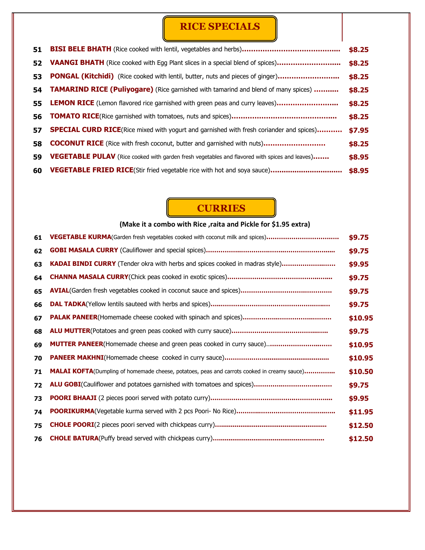# **RICE SPECIALS**

| 51 |                                                                                                 | \$8.25 |
|----|-------------------------------------------------------------------------------------------------|--------|
| 52 | <b>VAANGI BHATH</b> (Rice cooked with Egg Plant slices in a special blend of spices)            | \$8.25 |
| 53 | <b>PONGAL (Kitchidi)</b> (Rice cooked with lentil, butter, nuts and pieces of ginger)           | \$8.25 |
|    | 54 TAMARIND RICE (Puliyogare) (Rice garnished with tamarind and blend of many spices)           | \$8.25 |
|    | <b>55 LEMON RICE</b> (Lemon flavored rice garnished with green peas and curry leaves)           | \$8.25 |
| 56 |                                                                                                 | \$8.25 |
| 57 | <b>SPECIAL CURD RICE</b> (Rice mixed with yogurt and garnished with fresh coriander and spices) | \$7.95 |
| 58 | <b>COCONUT RICE</b> (Rice with fresh coconut, butter and garnished with nuts)                   | \$8.25 |
| 59 | VEGETABLE PULAV (Rice cooked with garden fresh vegetables and flavored with spices and leaves)  | \$8.95 |
| 60 |                                                                                                 | \$8.95 |

# **CURRIES**

|    | (Make it a combo with Rice, raita and Pickle for \$1.95 extra)                                      |         |  |  |
|----|-----------------------------------------------------------------------------------------------------|---------|--|--|
| 61 | VEGETABLE KURMA(Garden fresh vegetables cooked with coconut milk and spices)                        | \$9.75  |  |  |
| 62 |                                                                                                     | \$9.75  |  |  |
| 63 | KADAI BINDI CURRY (Tender okra with herbs and spices cooked in madras style)                        | \$9.95  |  |  |
| 64 |                                                                                                     | \$9.75  |  |  |
| 65 |                                                                                                     | \$9.75  |  |  |
| 66 |                                                                                                     | \$9.75  |  |  |
| 67 |                                                                                                     | \$10.95 |  |  |
| 68 |                                                                                                     | \$9.75  |  |  |
| 69 | <b>MUTTER PANEER</b> (Homemade cheese and green peas cooked in curry sauce)                         | \$10.95 |  |  |
| 70 |                                                                                                     | \$10.95 |  |  |
| 71 | <b>MALAI KOFTA</b> (Dumpling of homemade cheese, potatoes, peas and carrots cooked in creamy sauce) | \$10.50 |  |  |
| 72 |                                                                                                     | \$9.75  |  |  |
| 73 |                                                                                                     | \$9.95  |  |  |
| 74 |                                                                                                     | \$11.95 |  |  |
| 75 |                                                                                                     | \$12.50 |  |  |
| 76 |                                                                                                     | \$12.50 |  |  |